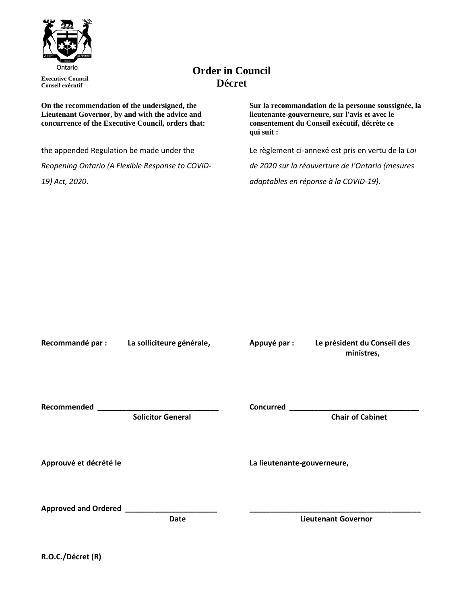

**Executive Council Conseil exécutif**

# **Order in Council Décret**

**On the recommendation of the undersigned, the Lieutenant Governor, by and with the advice and concurrence of the Executive Council, orders that:**

the appended Regulation be made under the *Reopening Ontario (A Flexible Response to COVID-19) Act, 2020*.

**Sur la recommandation de la personne soussignée, la lieutenante-gouverneure, sur l'avis et avec le consentement du Conseil exécutif, décrète ce qui suit :**

Le règlement ci-annexé est pris en vertu de la *Loi* 

*de 2020 sur la réouverture de l'Ontario (mesures* 

*adaptables en réponse à la COVID-19)*.

**Recommandé par : La solliciteure générale, Appuyé par : Le président du Conseil des ministres, Recommended \_\_\_\_\_\_\_\_\_\_\_\_\_\_\_\_\_\_\_\_\_\_\_\_\_\_\_\_\_ Concurred \_\_\_\_\_\_\_\_\_\_\_\_\_\_\_\_\_\_\_\_\_\_\_\_\_\_\_\_\_\_\_ Solicitor General Chair of Cabinet Approuvé et décrété le La lieutenante-gouverneure, Approved and Ordered \_\_\_\_\_\_\_\_\_\_\_\_\_\_\_\_\_\_\_\_\_\_ \_\_\_\_\_\_\_\_\_\_\_\_\_\_\_\_\_\_\_\_\_\_\_\_\_\_\_\_\_\_\_\_\_\_\_\_\_\_\_\_\_ Date Lieutenant Governor**

**R.O.C./Décret (R)**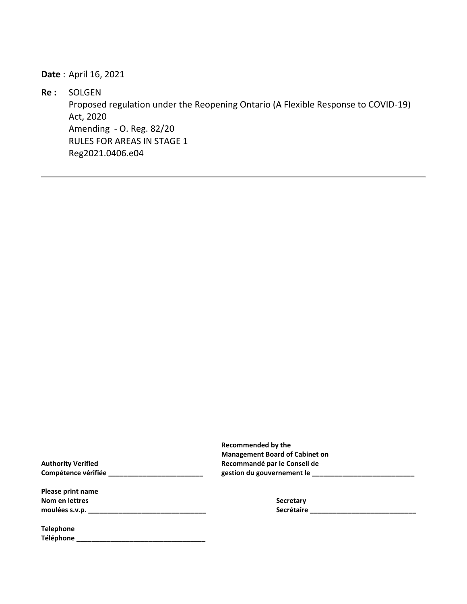#### **Date** : April 16, 2021

**Re :** SOLGEN

Proposed regulation under the Reopening Ontario (A Flexible Response to COVID-19) Act, 2020 Amending - O. Reg. 82/20 RULES FOR AREAS IN STAGE 1 Reg2021.0406.e04

**Authority Verified Compétence vérifiée \_\_\_\_\_\_\_\_\_\_\_\_\_\_\_\_\_\_\_\_\_\_\_\_\_**

**Please print name Nom en lettres moulées s.v.p. \_\_\_\_\_\_\_\_\_\_\_\_\_\_\_\_\_\_\_\_\_\_\_\_\_\_\_\_\_\_\_**

**Telephone Téléphone \_\_\_\_\_\_\_\_\_\_\_\_\_\_\_\_\_\_\_\_\_\_\_\_\_\_\_\_\_\_\_\_\_\_** **Recommended by the Management Board of Cabinet on Recommandé par le Conseil de gestion du gouvernement le \_\_\_\_\_\_\_\_\_\_\_\_\_\_\_\_\_\_\_\_\_\_\_\_\_\_\_**

> **Secretary Secrétaire \_\_\_\_\_\_\_\_\_\_\_\_\_\_\_\_\_\_\_\_\_\_\_\_\_\_\_\_**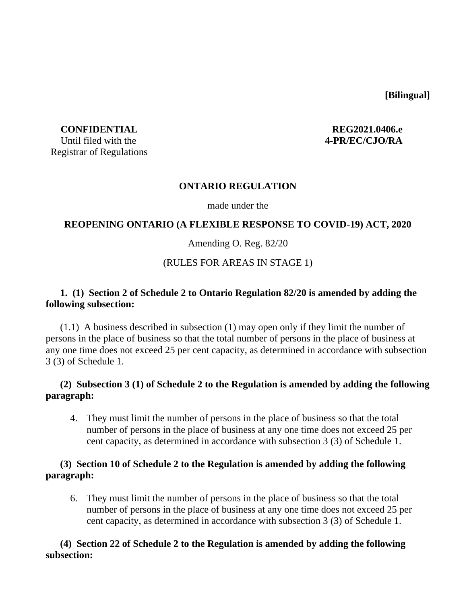**[Bilingual]**

Until filed with the **4-PR/EC/CJO/RA** Registrar of Regulations

# **CONFIDENTIAL REG2021.0406.e**

#### **ONTARIO REGULATION**

#### made under the

#### **REOPENING ONTARIO (A FLEXIBLE RESPONSE TO COVID-19) ACT, 2020**

#### Amending O. Reg. 82/20

#### (RULES FOR AREAS IN STAGE 1)

### **1. (1) Section 2 of Schedule 2 to Ontario Regulation 82/20 is amended by adding the following subsection:**

(1.1) A business described in subsection (1) may open only if they limit the number of persons in the place of business so that the total number of persons in the place of business at any one time does not exceed 25 per cent capacity, as determined in accordance with subsection 3 (3) of Schedule 1.

#### **(2) Subsection 3 (1) of Schedule 2 to the Regulation is amended by adding the following paragraph:**

4. They must limit the number of persons in the place of business so that the total number of persons in the place of business at any one time does not exceed 25 per cent capacity, as determined in accordance with subsection 3 (3) of Schedule 1.

#### **(3) Section 10 of Schedule 2 to the Regulation is amended by adding the following paragraph:**

6. They must limit the number of persons in the place of business so that the total number of persons in the place of business at any one time does not exceed 25 per cent capacity, as determined in accordance with subsection 3 (3) of Schedule 1.

#### **(4) Section 22 of Schedule 2 to the Regulation is amended by adding the following subsection:**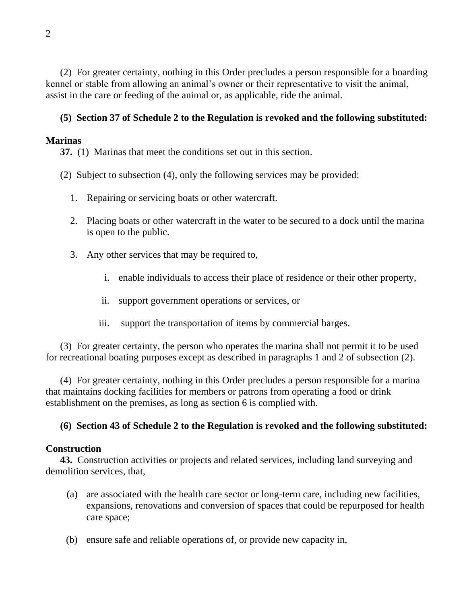(2) For greater certainty, nothing in this Order precludes a person responsible for a boarding kennel or stable from allowing an animal's owner or their representative to visit the animal, assist in the care or feeding of the animal or, as applicable, ride the animal.

### **(5) Section 37 of Schedule 2 to the Regulation is revoked and the following substituted:**

#### **Marinas**

**37.** (1) Marinas that meet the conditions set out in this section.

- (2) Subject to subsection (4), only the following services may be provided:
	- 1. Repairing or servicing boats or other watercraft.
	- 2. Placing boats or other watercraft in the water to be secured to a dock until the marina is open to the public.
	- 3. Any other services that may be required to,
		- i. enable individuals to access their place of residence or their other property,
		- ii. support government operations or services, or
		- iii. support the transportation of items by commercial barges.

(3) For greater certainty, the person who operates the marina shall not permit it to be used for recreational boating purposes except as described in paragraphs 1 and 2 of subsection (2).

(4) For greater certainty, nothing in this Order precludes a person responsible for a marina that maintains docking facilities for members or patrons from operating a food or drink establishment on the premises, as long as section 6 is complied with.

# **(6) Section 43 of Schedule 2 to the Regulation is revoked and the following substituted:**

#### **Construction**

**43.** Construction activities or projects and related services, including land surveying and demolition services, that,

- (a) are associated with the health care sector or long-term care, including new facilities, expansions, renovations and conversion of spaces that could be repurposed for health care space;
- (b) ensure safe and reliable operations of, or provide new capacity in,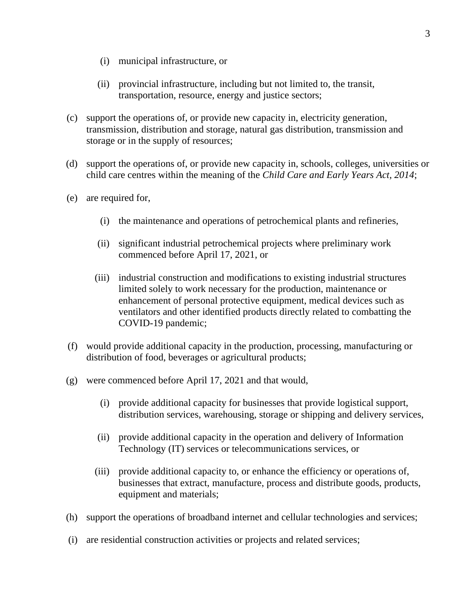- (i) municipal infrastructure, or
- (ii) provincial infrastructure, including but not limited to, the transit, transportation, resource, energy and justice sectors;
- (c) support the operations of, or provide new capacity in, electricity generation, transmission, distribution and storage, natural gas distribution, transmission and storage or in the supply of resources;
- (d) support the operations of, or provide new capacity in, schools, colleges, universities or child care centres within the meaning of the *Child Care and Early Years Act, 2014*;
- (e) are required for,
	- (i) the maintenance and operations of petrochemical plants and refineries,
	- (ii) significant industrial petrochemical projects where preliminary work commenced before April 17, 2021, or
	- (iii) industrial construction and modifications to existing industrial structures limited solely to work necessary for the production, maintenance or enhancement of personal protective equipment, medical devices such as ventilators and other identified products directly related to combatting the COVID-19 pandemic;
- (f) would provide additional capacity in the production, processing, manufacturing or distribution of food, beverages or agricultural products;
- (g) were commenced before April 17, 2021 and that would,
	- (i) provide additional capacity for businesses that provide logistical support, distribution services, warehousing, storage or shipping and delivery services,
	- (ii) provide additional capacity in the operation and delivery of Information Technology (IT) services or telecommunications services, or
	- (iii) provide additional capacity to, or enhance the efficiency or operations of, businesses that extract, manufacture, process and distribute goods, products, equipment and materials;
- (h) support the operations of broadband internet and cellular technologies and services;
- (i) are residential construction activities or projects and related services;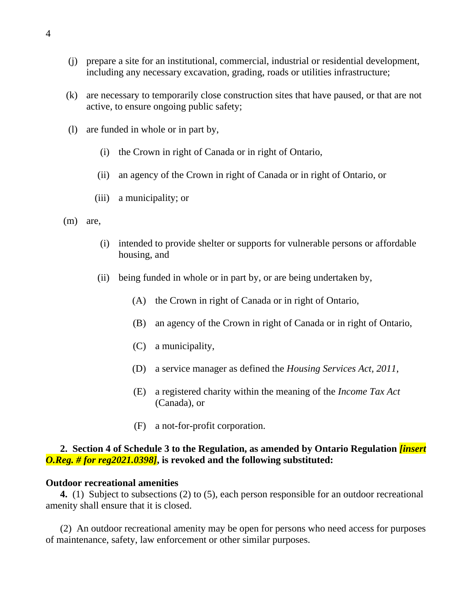- (j) prepare a site for an institutional, commercial, industrial or residential development, including any necessary excavation, grading, roads or utilities infrastructure;
- (k) are necessary to temporarily close construction sites that have paused, or that are not active, to ensure ongoing public safety;
- (l) are funded in whole or in part by,
	- (i) the Crown in right of Canada or in right of Ontario,
	- (ii) an agency of the Crown in right of Canada or in right of Ontario, or
	- (iii) a municipality; or
- (m) are,
	- (i) intended to provide shelter or supports for vulnerable persons or affordable housing, and
	- (ii) being funded in whole or in part by, or are being undertaken by,
		- (A) the Crown in right of Canada or in right of Ontario,
		- (B) an agency of the Crown in right of Canada or in right of Ontario,
		- (C) a municipality,
		- (D) a service manager as defined the *Housing Services Act, 2011*,
		- (E) a registered charity within the meaning of the *Income Tax Act* (Canada), or
		- (F) a not-for-profit corporation.

#### **2. Section 4 of Schedule 3 to the Regulation, as amended by Ontario Regulation** *finsert O.Reg. # for reg2021.0398]***, is revoked and the following substituted:**

#### **Outdoor recreational amenities**

**4.** (1) Subject to subsections (2) to (5), each person responsible for an outdoor recreational amenity shall ensure that it is closed.

(2) An outdoor recreational amenity may be open for persons who need access for purposes of maintenance, safety, law enforcement or other similar purposes.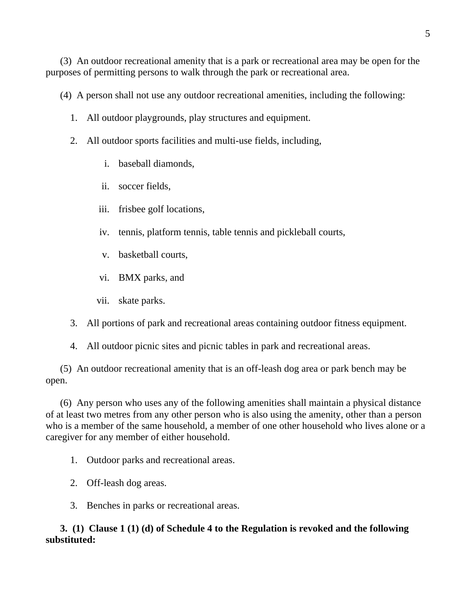(3) An outdoor recreational amenity that is a park or recreational area may be open for the purposes of permitting persons to walk through the park or recreational area.

(4) A person shall not use any outdoor recreational amenities, including the following:

- 1. All outdoor playgrounds, play structures and equipment.
- 2. All outdoor sports facilities and multi-use fields, including,
	- i. baseball diamonds,
	- ii. soccer fields,
	- iii. frisbee golf locations,
	- iv. tennis, platform tennis, table tennis and pickleball courts,
	- v. basketball courts,
	- vi. BMX parks, and
	- vii. skate parks.
- 3. All portions of park and recreational areas containing outdoor fitness equipment.
- 4. All outdoor picnic sites and picnic tables in park and recreational areas.

(5) An outdoor recreational amenity that is an off-leash dog area or park bench may be open.

(6) Any person who uses any of the following amenities shall maintain a physical distance of at least two metres from any other person who is also using the amenity, other than a person who is a member of the same household, a member of one other household who lives alone or a caregiver for any member of either household.

- 1. Outdoor parks and recreational areas.
- 2. Off-leash dog areas.
- 3. Benches in parks or recreational areas.

# **3. (1) Clause 1 (1) (d) of Schedule 4 to the Regulation is revoked and the following substituted:**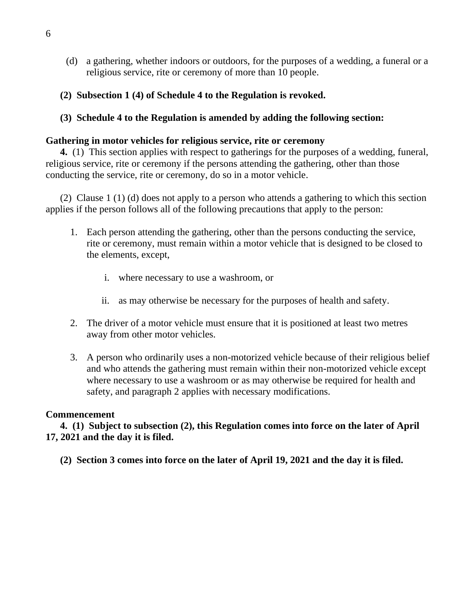- (d) a gathering, whether indoors or outdoors, for the purposes of a wedding, a funeral or a religious service, rite or ceremony of more than 10 people.
- **(2) Subsection 1 (4) of Schedule 4 to the Regulation is revoked.**
- **(3) Schedule 4 to the Regulation is amended by adding the following section:**

#### **Gathering in motor vehicles for religious service, rite or ceremony**

**4.** (1) This section applies with respect to gatherings for the purposes of a wedding, funeral, religious service, rite or ceremony if the persons attending the gathering, other than those conducting the service, rite or ceremony, do so in a motor vehicle.

(2) Clause 1 (1) (d) does not apply to a person who attends a gathering to which this section applies if the person follows all of the following precautions that apply to the person:

- 1. Each person attending the gathering, other than the persons conducting the service, rite or ceremony, must remain within a motor vehicle that is designed to be closed to the elements, except,
	- i. where necessary to use a washroom, or
	- ii. as may otherwise be necessary for the purposes of health and safety.
- 2. The driver of a motor vehicle must ensure that it is positioned at least two metres away from other motor vehicles.
- 3. A person who ordinarily uses a non-motorized vehicle because of their religious belief and who attends the gathering must remain within their non-motorized vehicle except where necessary to use a washroom or as may otherwise be required for health and safety, and paragraph 2 applies with necessary modifications.

#### **Commencement**

**4. (1) Subject to subsection (2), this Regulation comes into force on the later of April 17, 2021 and the day it is filed.**

**(2) Section 3 comes into force on the later of April 19, 2021 and the day it is filed.**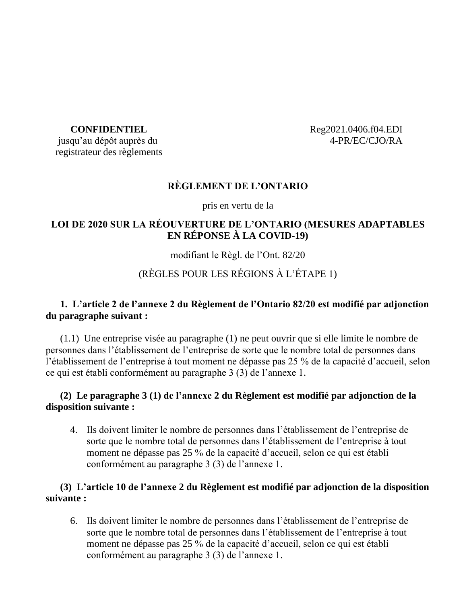jusqu'au dépôt auprès du  $4-PR/EC/CO/RA$ registrateur des règlements

**CONFIDENTIEL** Reg2021.0406.f04.EDI

#### **RÈGLEMENT DE L'ONTARIO**

pris en vertu de la

### **LOI DE 2020 SUR LA RÉOUVERTURE DE L'ONTARIO (MESURES ADAPTABLES EN RÉPONSE À LA COVID-19)**

# modifiant le Règl. de l'Ont. 82/20

# (RÈGLES POUR LES RÉGIONS À L'ÉTAPE 1)

# **1. L'article 2 de l'annexe 2 du Règlement de l'Ontario 82/20 est modifié par adjonction du paragraphe suivant :**

(1.1) Une entreprise visée au paragraphe (1) ne peut ouvrir que si elle limite le nombre de personnes dans l'établissement de l'entreprise de sorte que le nombre total de personnes dans l'établissement de l'entreprise à tout moment ne dépasse pas 25 % de la capacité d'accueil, selon ce qui est établi conformément au paragraphe 3 (3) de l'annexe 1.

# **(2) Le paragraphe 3 (1) de l'annexe 2 du Règlement est modifié par adjonction de la disposition suivante :**

4. Ils doivent limiter le nombre de personnes dans l'établissement de l'entreprise de sorte que le nombre total de personnes dans l'établissement de l'entreprise à tout moment ne dépasse pas 25 % de la capacité d'accueil, selon ce qui est établi conformément au paragraphe 3 (3) de l'annexe 1.

#### **(3) L'article 10 de l'annexe 2 du Règlement est modifié par adjonction de la disposition suivante :**

6. Ils doivent limiter le nombre de personnes dans l'établissement de l'entreprise de sorte que le nombre total de personnes dans l'établissement de l'entreprise à tout moment ne dépasse pas 25 % de la capacité d'accueil, selon ce qui est établi conformément au paragraphe 3 (3) de l'annexe 1.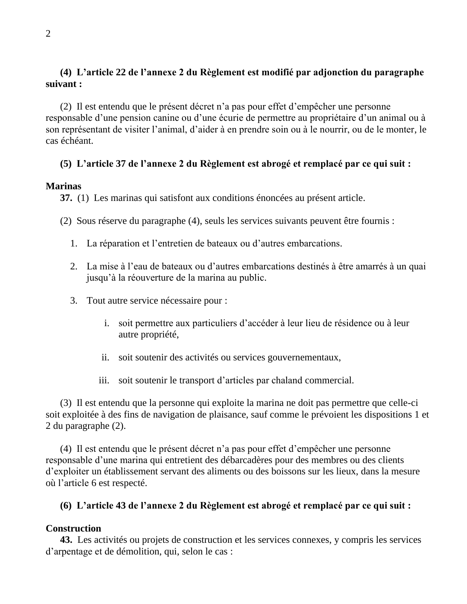### **(4) L'article 22 de l'annexe 2 du Règlement est modifié par adjonction du paragraphe suivant :**

(2) Il est entendu que le présent décret n'a pas pour effet d'empêcher une personne responsable d'une pension canine ou d'une écurie de permettre au propriétaire d'un animal ou à son représentant de visiter l'animal, d'aider à en prendre soin ou à le nourrir, ou de le monter, le cas échéant.

# **(5) L'article 37 de l'annexe 2 du Règlement est abrogé et remplacé par ce qui suit :**

#### **Marinas**

**37.** (1) Les marinas qui satisfont aux conditions énoncées au présent article.

- (2) Sous réserve du paragraphe (4), seuls les services suivants peuvent être fournis :
	- 1. La réparation et l'entretien de bateaux ou d'autres embarcations.
	- 2. La mise à l'eau de bateaux ou d'autres embarcations destinés à être amarrés à un quai jusqu'à la réouverture de la marina au public.
	- 3. Tout autre service nécessaire pour :
		- i. soit permettre aux particuliers d'accéder à leur lieu de résidence ou à leur autre propriété,
		- ii. soit soutenir des activités ou services gouvernementaux,
		- iii. soit soutenir le transport d'articles par chaland commercial.

(3) Il est entendu que la personne qui exploite la marina ne doit pas permettre que celle-ci soit exploitée à des fins de navigation de plaisance, sauf comme le prévoient les dispositions 1 et 2 du paragraphe (2).

(4) Il est entendu que le présent décret n'a pas pour effet d'empêcher une personne responsable d'une marina qui entretient des débarcadères pour des membres ou des clients d'exploiter un établissement servant des aliments ou des boissons sur les lieux, dans la mesure où l'article 6 est respecté.

#### **(6) L'article 43 de l'annexe 2 du Règlement est abrogé et remplacé par ce qui suit :**

#### **Construction**

**43.** Les activités ou projets de construction et les services connexes, y compris les services d'arpentage et de démolition, qui, selon le cas :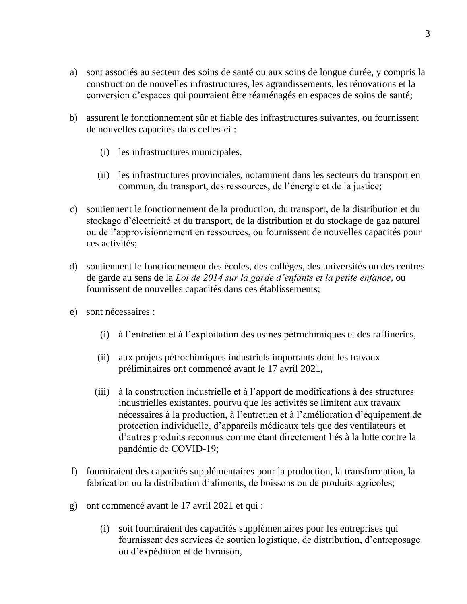3

- a) sont associés au secteur des soins de santé ou aux soins de longue durée, y compris la construction de nouvelles infrastructures, les agrandissements, les rénovations et la conversion d'espaces qui pourraient être réaménagés en espaces de soins de santé;
- b) assurent le fonctionnement sûr et fiable des infrastructures suivantes, ou fournissent de nouvelles capacités dans celles-ci :
	- (i) les infrastructures municipales,
	- (ii) les infrastructures provinciales, notamment dans les secteurs du transport en commun, du transport, des ressources, de l'énergie et de la justice;
- c) soutiennent le fonctionnement de la production, du transport, de la distribution et du stockage d'électricité et du transport, de la distribution et du stockage de gaz naturel ou de l'approvisionnement en ressources, ou fournissent de nouvelles capacités pour ces activités;
- d) soutiennent le fonctionnement des écoles, des collèges, des universités ou des centres de garde au sens de la *Loi de 2014 sur la garde d'enfants et la petite enfance*, ou fournissent de nouvelles capacités dans ces établissements;
- e) sont nécessaires :
	- (i) à l'entretien et à l'exploitation des usines pétrochimiques et des raffineries,
	- (ii) aux projets pétrochimiques industriels importants dont les travaux préliminaires ont commencé avant le 17 avril 2021,
	- (iii) à la construction industrielle et à l'apport de modifications à des structures industrielles existantes, pourvu que les activités se limitent aux travaux nécessaires à la production, à l'entretien et à l'amélioration d'équipement de protection individuelle, d'appareils médicaux tels que des ventilateurs et d'autres produits reconnus comme étant directement liés à la lutte contre la pandémie de COVID-19;
- f) fourniraient des capacités supplémentaires pour la production, la transformation, la fabrication ou la distribution d'aliments, de boissons ou de produits agricoles;
- g) ont commencé avant le 17 avril 2021 et qui :
	- (i) soit fourniraient des capacités supplémentaires pour les entreprises qui fournissent des services de soutien logistique, de distribution, d'entreposage ou d'expédition et de livraison,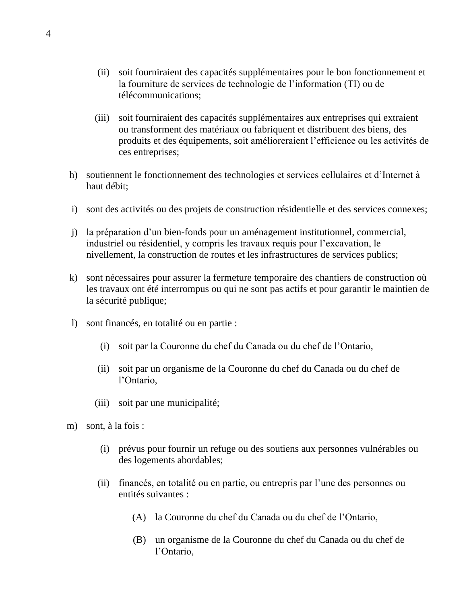- (ii) soit fourniraient des capacités supplémentaires pour le bon fonctionnement et la fourniture de services de technologie de l'information (TI) ou de télécommunications;
- (iii) soit fourniraient des capacités supplémentaires aux entreprises qui extraient ou transforment des matériaux ou fabriquent et distribuent des biens, des produits et des équipements, soit amélioreraient l'efficience ou les activités de ces entreprises;
- h) soutiennent le fonctionnement des technologies et services cellulaires et d'Internet à haut débit;
- i) sont des activités ou des projets de construction résidentielle et des services connexes;
- j) la préparation d'un bien-fonds pour un aménagement institutionnel, commercial, industriel ou résidentiel, y compris les travaux requis pour l'excavation, le nivellement, la construction de routes et les infrastructures de services publics;
- k) sont nécessaires pour assurer la fermeture temporaire des chantiers de construction où les travaux ont été interrompus ou qui ne sont pas actifs et pour garantir le maintien de la sécurité publique;
- l) sont financés, en totalité ou en partie :
	- (i) soit par la Couronne du chef du Canada ou du chef de l'Ontario,
	- (ii) soit par un organisme de la Couronne du chef du Canada ou du chef de l'Ontario,
	- (iii) soit par une municipalité;
- m) sont, à la fois :
	- (i) prévus pour fournir un refuge ou des soutiens aux personnes vulnérables ou des logements abordables;
	- (ii) financés, en totalité ou en partie, ou entrepris par l'une des personnes ou entités suivantes :
		- (A) la Couronne du chef du Canada ou du chef de l'Ontario,
		- (B) un organisme de la Couronne du chef du Canada ou du chef de l'Ontario,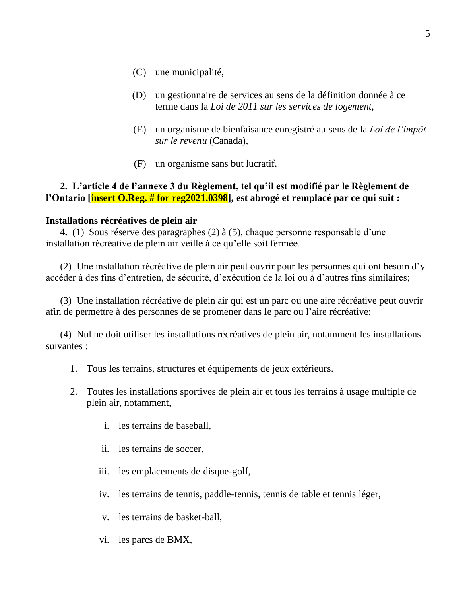- (C) une municipalité,
- (D) un gestionnaire de services au sens de la définition donnée à ce terme dans la *Loi de 2011 sur les services de logement*,
- (E) un organisme de bienfaisance enregistré au sens de la *Loi de l'impôt sur le revenu* (Canada),
- (F) un organisme sans but lucratif.

#### **2. L'article 4 de l'annexe 3 du Règlement, tel qu'il est modifié par le Règlement de l'Ontario [insert O.Reg. # for reg2021.0398], est abrogé et remplacé par ce qui suit :**

#### **Installations récréatives de plein air**

**4.** (1) Sous réserve des paragraphes (2) à (5), chaque personne responsable d'une installation récréative de plein air veille à ce qu'elle soit fermée.

(2) Une installation récréative de plein air peut ouvrir pour les personnes qui ont besoin d'y accéder à des fins d'entretien, de sécurité, d'exécution de la loi ou à d'autres fins similaires;

(3) Une installation récréative de plein air qui est un parc ou une aire récréative peut ouvrir afin de permettre à des personnes de se promener dans le parc ou l'aire récréative;

(4) Nul ne doit utiliser les installations récréatives de plein air, notamment les installations suivantes :

- 1. Tous les terrains, structures et équipements de jeux extérieurs.
- 2. Toutes les installations sportives de plein air et tous les terrains à usage multiple de plein air, notamment,
	- i. les terrains de baseball,
	- ii. les terrains de soccer,
	- iii. les emplacements de disque-golf,
	- iv. les terrains de tennis, paddle-tennis, tennis de table et tennis léger,
	- v. les terrains de basket-ball,
	- vi. les parcs de BMX,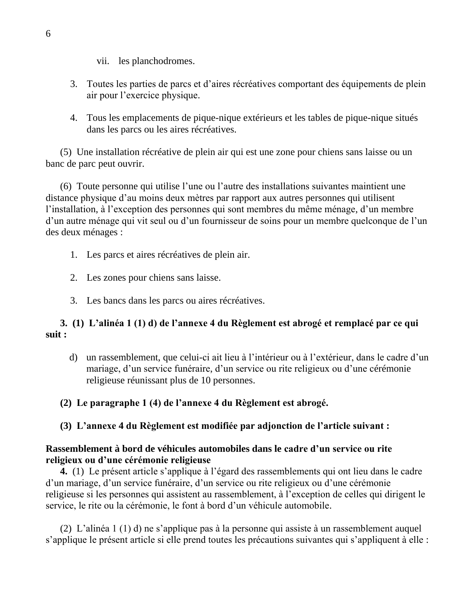- vii. les planchodromes.
- 3. Toutes les parties de parcs et d'aires récréatives comportant des équipements de plein air pour l'exercice physique.
- 4. Tous les emplacements de pique-nique extérieurs et les tables de pique-nique situés dans les parcs ou les aires récréatives.

(5) Une installation récréative de plein air qui est une zone pour chiens sans laisse ou un banc de parc peut ouvrir.

(6) Toute personne qui utilise l'une ou l'autre des installations suivantes maintient une distance physique d'au moins deux mètres par rapport aux autres personnes qui utilisent l'installation, à l'exception des personnes qui sont membres du même ménage, d'un membre d'un autre ménage qui vit seul ou d'un fournisseur de soins pour un membre quelconque de l'un des deux ménages :

- 1. Les parcs et aires récréatives de plein air.
- 2. Les zones pour chiens sans laisse.
- 3. Les bancs dans les parcs ou aires récréatives.

# **3. (1) L'alinéa 1 (1) d) de l'annexe 4 du Règlement est abrogé et remplacé par ce qui suit :**

- d) un rassemblement, que celui-ci ait lieu à l'intérieur ou à l'extérieur, dans le cadre d'un mariage, d'un service funéraire, d'un service ou rite religieux ou d'une cérémonie religieuse réunissant plus de 10 personnes.
- **(2) Le paragraphe 1 (4) de l'annexe 4 du Règlement est abrogé.**
- **(3) L'annexe 4 du Règlement est modifiée par adjonction de l'article suivant :**

#### **Rassemblement à bord de véhicules automobiles dans le cadre d'un service ou rite religieux ou d'une cérémonie religieuse**

**4.** (1) Le présent article s'applique à l'égard des rassemblements qui ont lieu dans le cadre d'un mariage, d'un service funéraire, d'un service ou rite religieux ou d'une cérémonie religieuse si les personnes qui assistent au rassemblement, à l'exception de celles qui dirigent le service, le rite ou la cérémonie, le font à bord d'un véhicule automobile.

(2) L'alinéa 1 (1) d) ne s'applique pas à la personne qui assiste à un rassemblement auquel s'applique le présent article si elle prend toutes les précautions suivantes qui s'appliquent à elle :